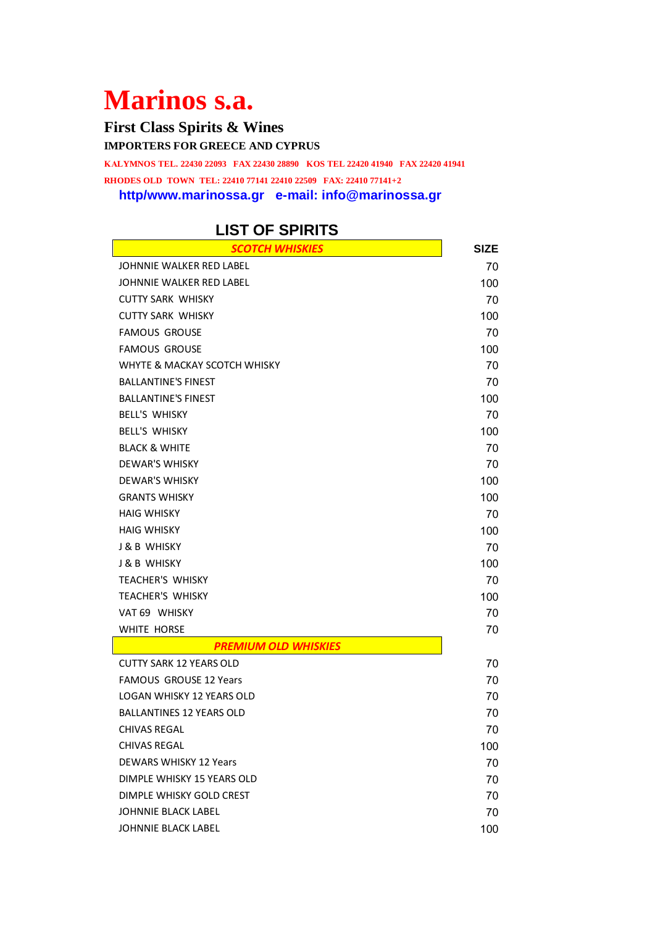## **Marinos s.a.**

**First Class Spirits & Wines IMPORTERS FOR GREECE AND CYPRUS ΚΑLYMNOS ΤEL. 22430 22093 FAX 22430 28890 ΚOS ΤEL 22420 41940 FAX 22420 41941 RHODES OLD TOWN TEL: 22410 77141 22410 22509 FAX: 22410 77141+2 http/www.marinossa.gr e-mail: info@marinossa.gr**

## **LIST OF SPIRITS**

| <b>SCOTCH WHISKIES</b>          | <b>SIZE</b> |
|---------------------------------|-------------|
| JOHNNIE WALKER RED LABEL        | 70          |
| JOHNNIE WALKER RED LABEL        | 100         |
| <b>CUTTY SARK WHISKY</b>        | 70          |
| <b>CUTTY SARK WHISKY</b>        | 100         |
| <b>FAMOUS GROUSE</b>            | 70          |
| <b>FAMOUS GROUSE</b>            | 100         |
| WHYTE & MACKAY SCOTCH WHISKY    | 70          |
| <b>BALLANTINE'S FINEST</b>      | 70          |
| <b>BALLANTINE'S FINEST</b>      | 100         |
| <b>BELL'S WHISKY</b>            | 70          |
| <b>BELL'S WHISKY</b>            | 100         |
| <b>BLACK &amp; WHITE</b>        | 70          |
| <b>DEWAR'S WHISKY</b>           | 70          |
| <b>DEWAR'S WHISKY</b>           | 100         |
| <b>GRANTS WHISKY</b>            | 100         |
| <b>HAIG WHISKY</b>              | 70          |
| <b>HAIG WHISKY</b>              | 100         |
| <b>J &amp; B WHISKY</b>         | 70          |
| <b>J &amp; B WHISKY</b>         | 100         |
| <b>TEACHER'S WHISKY</b>         | 70          |
| <b>TEACHER'S WHISKY</b>         | 100         |
| VAT 69 WHISKY                   | 70          |
| WHITE HORSE                     | 70          |
| <b>PREMIUM OLD WHISKIES</b>     |             |
| <b>CUTTY SARK 12 YEARS OLD</b>  | 70          |
| <b>FAMOUS GROUSE 12 Years</b>   | 70          |
| LOGAN WHISKY 12 YEARS OLD       | 70          |
| <b>BALLANTINES 12 YEARS OLD</b> | 70          |
| <b>CHIVAS REGAL</b>             | 70          |
| CHIVAS REGAL                    | 100         |
| <b>DEWARS WHISKY 12 Years</b>   | 70          |
| DIMPLE WHISKY 15 YEARS OLD      | 70          |
| DIMPLE WHISKY GOLD CREST        | 70          |
| <b>JOHNNIE BLACK LABEL</b>      | 70          |
| JOHNNIE BLACK LABEL             | 100         |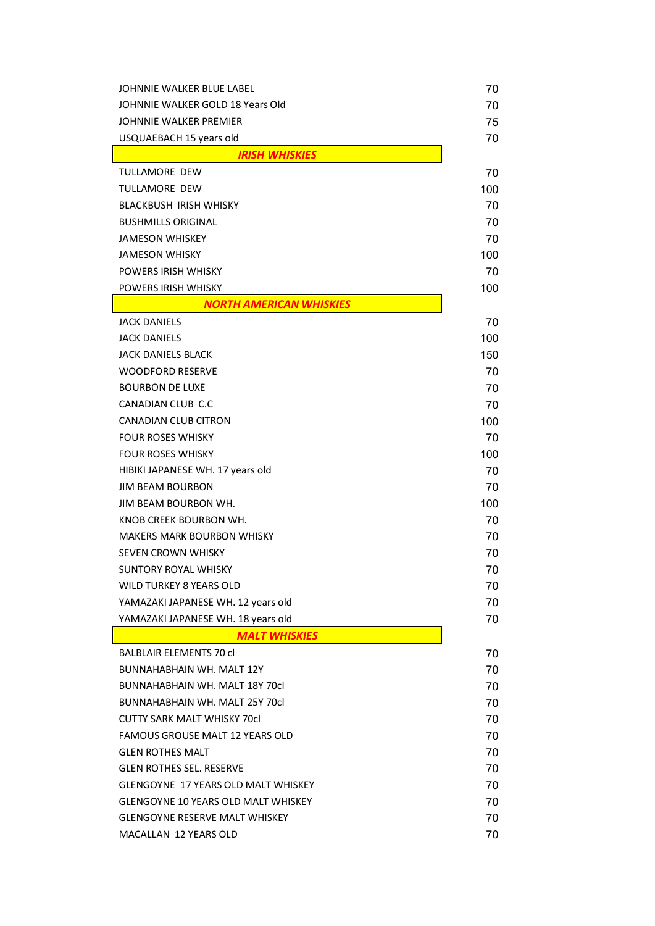| JOHNNIE WALKER BLUE LABEL                  | 70  |
|--------------------------------------------|-----|
| JOHNNIE WALKER GOLD 18 Years Old           | 70  |
| JOHNNIE WALKER PREMIER                     | 75  |
| USQUAEBACH 15 years old                    | 70  |
| <b>IRISH WHISKIES</b>                      |     |
| TULLAMORE DEW                              | 70  |
| <b>TULLAMORE DEW</b>                       | 100 |
| <b>BLACKBUSH IRISH WHISKY</b>              | 70  |
| <b>BUSHMILLS ORIGINAL</b>                  | 70  |
| <b>JAMESON WHISKEY</b>                     | 70  |
| <b>JAMESON WHISKY</b>                      | 100 |
| POWERS IRISH WHISKY                        | 70  |
| POWERS IRISH WHISKY                        | 100 |
| <b>NORTH AMERICAN WHISKIES</b>             |     |
| <b>JACK DANIELS</b>                        | 70  |
| <b>JACK DANIELS</b>                        | 100 |
| JACK DANIELS BLACK                         | 150 |
| <b>WOODFORD RESERVE</b>                    | 70  |
| <b>BOURBON DE LUXE</b>                     | 70  |
| CANADIAN CLUB C.C                          | 70  |
| <b>CANADIAN CLUB CITRON</b>                | 100 |
| <b>FOUR ROSES WHISKY</b>                   | 70  |
| <b>FOUR ROSES WHISKY</b>                   | 100 |
| HIBIKI JAPANESE WH. 17 years old           | 70  |
| <b>JIM BEAM BOURBON</b>                    | 70  |
| JIM BEAM BOURBON WH.                       | 100 |
| KNOB CREEK BOURBON WH.                     | 70  |
| MAKERS MARK BOURBON WHISKY                 | 70  |
| SEVEN CROWN WHISKY                         | 70  |
| SUNTORY ROYAL WHISKY                       | 70  |
| <b>WILD TURKEY 8 YEARS OLD</b>             | 70  |
| YAMAZAKI JAPANESE WH. 12 years old         | 70  |
| YAMAZAKI JAPANESE WH. 18 years old         | 70  |
| <b>MALT WHISKIES</b>                       |     |
| <b>BALBLAIR ELEMENTS 70 cl</b>             | 70  |
| BUNNAHABHAIN WH. MALT 12Y                  | 70  |
| BUNNAHABHAIN WH. MALT 18Y 70cl             | 70  |
| BUNNAHABHAIN WH. MALT 25Y 70cl             | 70  |
| <b>CUTTY SARK MALT WHISKY 70cl</b>         | 70  |
| FAMOUS GROUSE MALT 12 YEARS OLD            | 70  |
| <b>GLEN ROTHES MALT</b>                    | 70  |
| <b>GLEN ROTHES SEL. RESERVE</b>            | 70  |
| <b>GLENGOYNE 17 YEARS OLD MALT WHISKEY</b> | 70  |
| <b>GLENGOYNE 10 YEARS OLD MALT WHISKEY</b> | 70  |
| <b>GLENGOYNE RESERVE MALT WHISKEY</b>      | 70  |
| MACALLAN 12 YEARS OLD                      | 70  |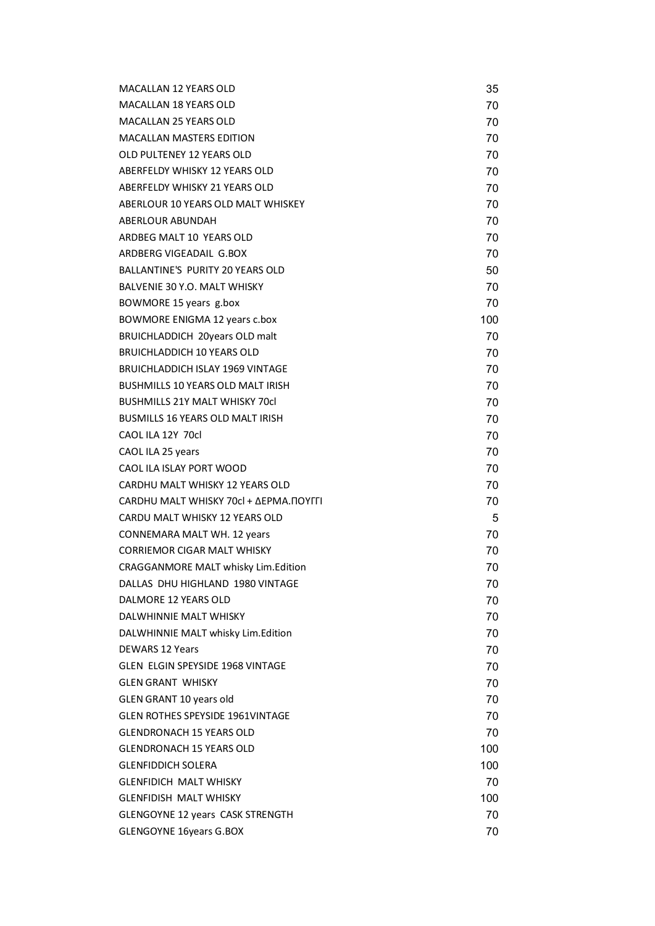| MACALLAN 12 YEARS OLD                      | 35  |
|--------------------------------------------|-----|
| <b>MACALLAN 18 YEARS OLD</b>               | 70  |
| <b>MACALLAN 25 YEARS OLD</b>               | 70  |
| <b>MACALLAN MASTERS EDITION</b>            | 70  |
| OLD PULTENEY 12 YEARS OLD                  | 70  |
| ABERFELDY WHISKY 12 YEARS OLD              | 70  |
| ABERFELDY WHISKY 21 YEARS OLD              | 70  |
| ABERLOUR 10 YEARS OLD MALT WHISKEY         | 70  |
| ABERLOUR ABUNDAH                           | 70  |
| ARDBEG MALT 10 YEARS OLD                   | 70  |
| ARDBERG VIGEADAIL G.BOX                    | 70  |
| <b>BALLANTINE'S PURITY 20 YEARS OLD</b>    | 50  |
| BALVENIE 30 Y.O. MALT WHISKY               | 70  |
| BOWMORE 15 years g.box                     | 70  |
| BOWMORE ENIGMA 12 years c.box              | 100 |
| BRUICHLADDICH 20years OLD malt             | 70  |
| <b>BRUICHLADDICH 10 YEARS OLD</b>          | 70  |
| <b>BRUICHLADDICH ISLAY 1969 VINTAGE</b>    | 70  |
| <b>BUSHMILLS 10 YEARS OLD MALT IRISH</b>   | 70  |
| <b>BUSHMILLS 21Y MALT WHISKY 70cl</b>      | 70  |
| BUSMILLS 16 YEARS OLD MALT IRISH           | 70  |
| CAOL ILA 12Y 70cl                          | 70  |
| CAOL ILA 25 years                          | 70  |
| CAOL ILA ISLAY PORT WOOD                   | 70  |
| CARDHU MALT WHISKY 12 YEARS OLD            | 70  |
| CARDHU MALT WHISKY 70cl + ΔΕΡΜΑ.ΠΟΥΓΓΙ     | 70  |
| CARDU MALT WHISKY 12 YEARS OLD             | 5   |
| <b>CONNEMARA MALT WH. 12 years</b>         | 70  |
| <b>CORRIEMOR CIGAR MALT WHISKY</b>         | 70  |
| <b>CRAGGANMORE MALT whisky Lim.Edition</b> | 70  |
| DALLAS DHU HIGHLAND 1980 VINTAGE           | 70  |
| DALMORE 12 YEARS OLD                       | 70  |
| DALWHINNIE MALT WHISKY                     | 70  |
| DALWHINNIE MALT whisky Lim.Edition         | 70  |
| <b>DEWARS 12 Years</b>                     | 70  |
| <b>GLEN ELGIN SPEYSIDE 1968 VINTAGE</b>    | 70  |
| <b>GLEN GRANT WHISKY</b>                   | 70  |
| <b>GLEN GRANT 10 years old</b>             | 70  |
| <b>GLEN ROTHES SPEYSIDE 1961VINTAGE</b>    | 70  |
| <b>GLENDRONACH 15 YEARS OLD</b>            | 70  |
| GLENDRONACH 15 YEARS OLD                   | 100 |
| <b>GLENFIDDICH SOLERA</b>                  | 100 |
| <b>GLENFIDICH MALT WHISKY</b>              | 70  |
| <b>GLENFIDISH MALT WHISKY</b>              | 100 |
| <b>GLENGOYNE 12 years CASK STRENGTH</b>    | 70  |
| <b>GLENGOYNE 16years G.BOX</b>             | 70  |
|                                            |     |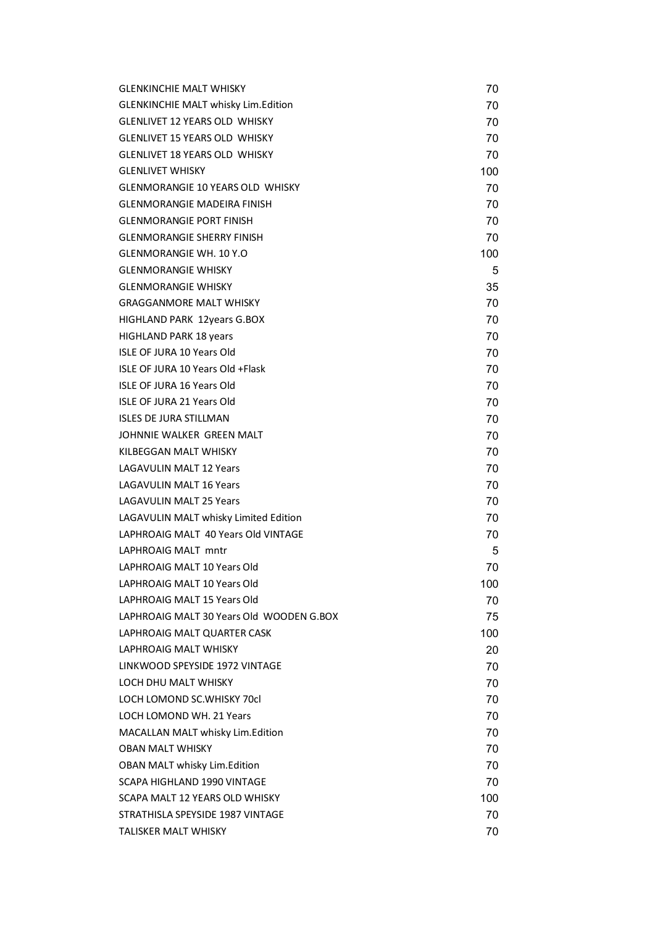| <b>GLENKINCHIE MALT WHISKY</b>             | 70  |
|--------------------------------------------|-----|
| <b>GLENKINCHIE MALT whisky Lim.Edition</b> | 70  |
| <b>GLENLIVET 12 YEARS OLD WHISKY</b>       | 70  |
| <b>GLENLIVET 15 YEARS OLD WHISKY</b>       | 70  |
| <b>GLENLIVET 18 YEARS OLD WHISKY</b>       | 70  |
| <b>GLENLIVET WHISKY</b>                    | 100 |
| <b>GLENMORANGIE 10 YEARS OLD WHISKY</b>    | 70  |
| <b>GLENMORANGIE MADEIRA FINISH</b>         | 70  |
| <b>GLENMORANGIE PORT FINISH</b>            | 70  |
| <b>GLENMORANGIE SHERRY FINISH</b>          | 70  |
| <b>GLENMORANGIE WH. 10 Y.O</b>             | 100 |
| <b>GLENMORANGIE WHISKY</b>                 | 5   |
| <b>GLENMORANGIE WHISKY</b>                 | 35  |
| <b>GRAGGANMORE MALT WHISKY</b>             | 70  |
| HIGHLAND PARK 12years G.BOX                | 70  |
| <b>HIGHLAND PARK 18 years</b>              | 70  |
| <b>ISLE OF JURA 10 Years Old</b>           | 70  |
| ISLE OF JURA 10 Years Old +Flask           | 70  |
| <b>ISLE OF JURA 16 Years Old</b>           | 70  |
| <b>ISLE OF JURA 21 Years Old</b>           | 70  |
| <b>ISLES DE JURA STILLMAN</b>              | 70  |
| JOHNNIE WALKER GREEN MALT                  | 70  |
| KILBEGGAN MALT WHISKY                      | 70  |
| <b>LAGAVULIN MALT 12 Years</b>             | 70  |
| <b>LAGAVULIN MALT 16 Years</b>             | 70  |
| <b>LAGAVULIN MALT 25 Years</b>             | 70  |
| LAGAVULIN MALT whisky Limited Edition      | 70  |
| LAPHROAIG MALT 40 Years Old VINTAGE        | 70  |
| LAPHROAIG MALT mntr                        | 5   |
| LAPHROAIG MALT 10 Years Old                | 70  |
| LAPHROAIG MALT 10 Years Old                | 100 |
| LAPHROAIG MALT 15 Years Old                | 70  |
| LAPHROAIG MALT 30 Years Old WOODEN G.BOX   | 75  |
| LAPHROAIG MALT QUARTER CASK                | 100 |
| <b>LAPHROAIG MALT WHISKY</b>               | 20  |
| LINKWOOD SPEYSIDE 1972 VINTAGE             | 70  |
| LOCH DHU MALT WHISKY                       | 70  |
| LOCH LOMOND SC. WHISKY 70cl                | 70  |
| <b>LOCH LOMOND WH. 21 Years</b>            | 70  |
| MACALLAN MALT whisky Lim.Edition           | 70  |
| <b>OBAN MALT WHISKY</b>                    | 70  |
| <b>OBAN MALT whisky Lim.Edition</b>        | 70  |
| SCAPA HIGHLAND 1990 VINTAGE                | 70  |
| SCAPA MALT 12 YEARS OLD WHISKY             | 100 |
| STRATHISLA SPEYSIDE 1987 VINTAGE           | 70  |
| <b>TALISKER MALT WHISKY</b>                | 70  |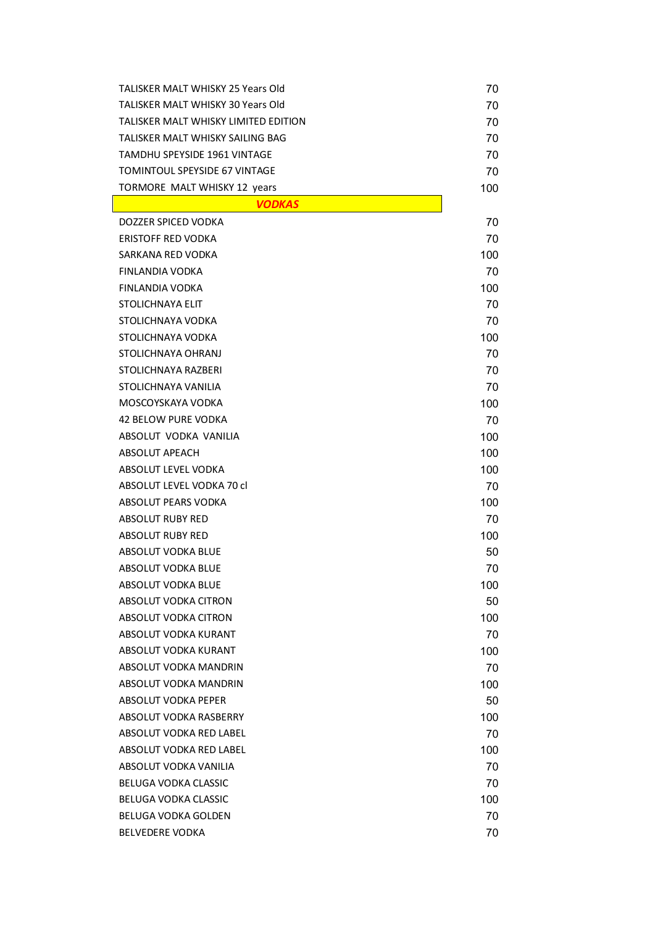| TALISKER MALT WHISKY 25 Years Old        | 70  |
|------------------------------------------|-----|
| <b>TALISKER MALT WHISKY 30 Years Old</b> | 70  |
| TALISKER MALT WHISKY LIMITED EDITION     | 70  |
| TALISKER MALT WHISKY SAILING BAG         | 70  |
| <b>TAMDHU SPEYSIDE 1961 VINTAGE</b>      | 70  |
| TOMINTOUL SPEYSIDE 67 VINTAGE            | 70  |
| <b>TORMORE MALT WHISKY 12 years</b>      | 100 |
| <b>VODKAS</b>                            |     |
| DOZZER SPICED VODKA                      | 70  |
| <b>ERISTOFF RED VODKA</b>                | 70  |
| SARKANA RED VODKA                        | 100 |
| FINLANDIA VODKA                          | 70  |
| FINLANDIA VODKA                          | 100 |
| STOLICHNAYA ELIT                         | 70  |
| STOLICHNAYA VODKA                        | 70  |
| STOLICHNAYA VODKA                        | 100 |
| STOLICHNAYA OHRANJ                       | 70  |
| STOLICHNAYA RAZBERI                      | 70  |
| STOLICHNAYA VANILIA                      | 70  |
| MOSCOYSKAYA VODKA                        | 100 |
| <b>42 BELOW PURE VODKA</b>               | 70  |
| ABSOLUT VODKA VANILIA                    | 100 |
| <b>ABSOLUT APEACH</b>                    | 100 |
| ABSOLUT LEVEL VODKA                      | 100 |
| ABSOLUT LEVEL VODKA 70 cl                | 70  |
| <b>ABSOLUT PEARS VODKA</b>               | 100 |
| <b>ABSOLUT RUBY RED</b>                  | 70  |
| ABSOLUT RUBY RED                         | 100 |
| ABSOLUT VODKA BLUE                       | 50  |
| ABSOLUT VODKA BLUE                       | 70  |
| ABSOLUT VODKA BLUE                       | 100 |
| ABSOLUT VODKA CITRON                     | 50  |
| <b>ABSOLUT VODKA CITRON</b>              | 100 |
| ABSOLUT VODKA KURANT                     | 70  |
| ABSOLUT VODKA KURANT                     | 100 |
| ABSOLUT VODKA MANDRIN                    | 70  |
| ABSOLUT VODKA MANDRIN                    | 100 |
| ABSOLUT VODKA PEPER                      | 50  |
| ABSOLUT VODKA RASBERRY                   | 100 |
| ABSOLUT VODKA RED LABEL                  | 70  |
| ABSOLUT VODKA RED LABEL                  | 100 |
| ABSOLUT VODKA VANILIA                    | 70  |
| <b>BELUGA VODKA CLASSIC</b>              | 70  |
| BELUGA VODKA CLASSIC                     | 100 |
| <b>BELUGA VODKA GOLDEN</b>               | 70  |
| <b>BELVEDERE VODKA</b>                   | 70  |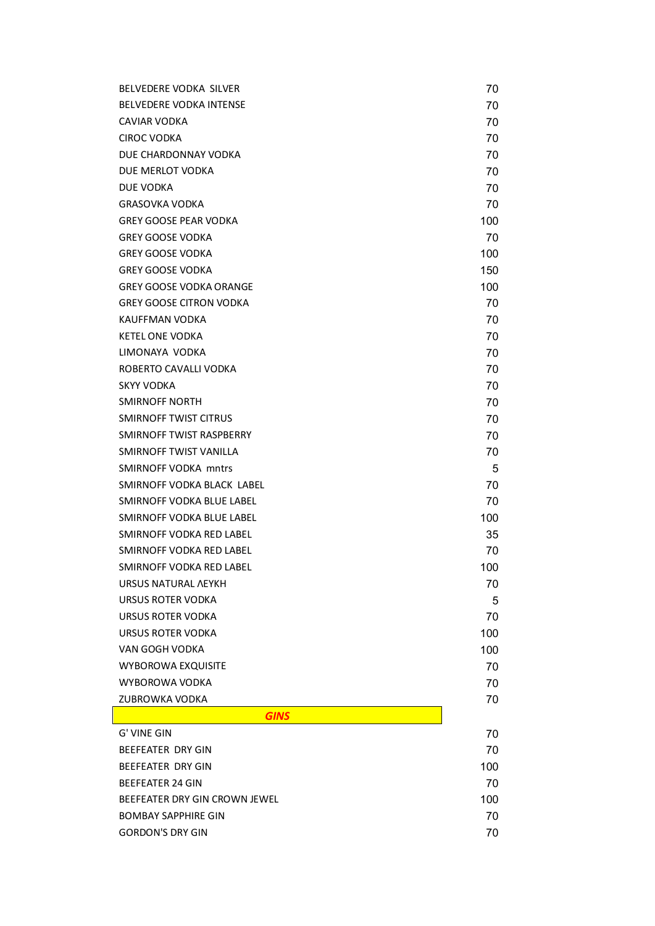| BELVEDERE VODKA SILVER         | 70  |
|--------------------------------|-----|
| <b>BELVEDERE VODKA INTENSE</b> | 70  |
| CAVIAR VODKA                   | 70  |
| <b>CIROC VODKA</b>             | 70  |
| DUE CHARDONNAY VODKA           | 70  |
| DUE MERLOT VODKA               | 70  |
| <b>DUE VODKA</b>               | 70  |
| <b>GRASOVKA VODKA</b>          | 70  |
| <b>GREY GOOSE PEAR VODKA</b>   | 100 |
| <b>GREY GOOSE VODKA</b>        | 70  |
| <b>GREY GOOSE VODKA</b>        | 100 |
| <b>GREY GOOSE VODKA</b>        | 150 |
| <b>GREY GOOSE VODKA ORANGE</b> | 100 |
| <b>GREY GOOSE CITRON VODKA</b> | 70  |
| KAUFFMAN VODKA                 | 70  |
| KETEL ONE VODKA                | 70  |
| LIMONAYA VODKA                 | 70  |
| ROBERTO CAVALLI VODKA          | 70  |
| <b>SKYY VODKA</b>              | 70  |
| <b>SMIRNOFF NORTH</b>          | 70  |
| <b>SMIRNOFF TWIST CITRUS</b>   | 70  |
| SMIRNOFF TWIST RASPBERRY       | 70  |
| SMIRNOFF TWIST VANILLA         | 70  |
| <b>SMIRNOFF VODKA mntrs</b>    | 5   |
| SMIRNOFF VODKA BLACK LABEL     | 70  |
| SMIRNOFF VODKA BLUE LABEL      | 70  |
| SMIRNOFF VODKA BLUE LABEL      | 100 |
| SMIRNOFF VODKA RED LABEL       | 35  |
| SMIRNOFF VODKA RED LABEL       | 70  |
| SMIRNOFF VODKA RED LABEL       | 100 |
| URSUS NATURAL ΛΕΥΚΗ            | 70  |
| URSUS ROTER VODKA              | 5   |
| URSUS ROTER VODKA              | 70  |
| URSUS ROTER VODKA              | 100 |
| VAN GOGH VODKA                 | 100 |
| <b>WYBOROWA EXQUISITE</b>      | 70  |
| WYBOROWA VODKA                 | 70  |
| ZUBROWKA VODKA                 | 70  |
| <b>GINS</b>                    |     |
| G' VINE GIN                    | 70  |
| <b>BEEFEATER DRY GIN</b>       | 70  |
| BEEFEATER DRY GIN              | 100 |
| <b>BEEFEATER 24 GIN</b>        | 70  |
| BEEFEATER DRY GIN CROWN JEWEL  | 100 |
| <b>BOMBAY SAPPHIRE GIN</b>     | 70  |
| <b>GORDON'S DRY GIN</b>        | 70  |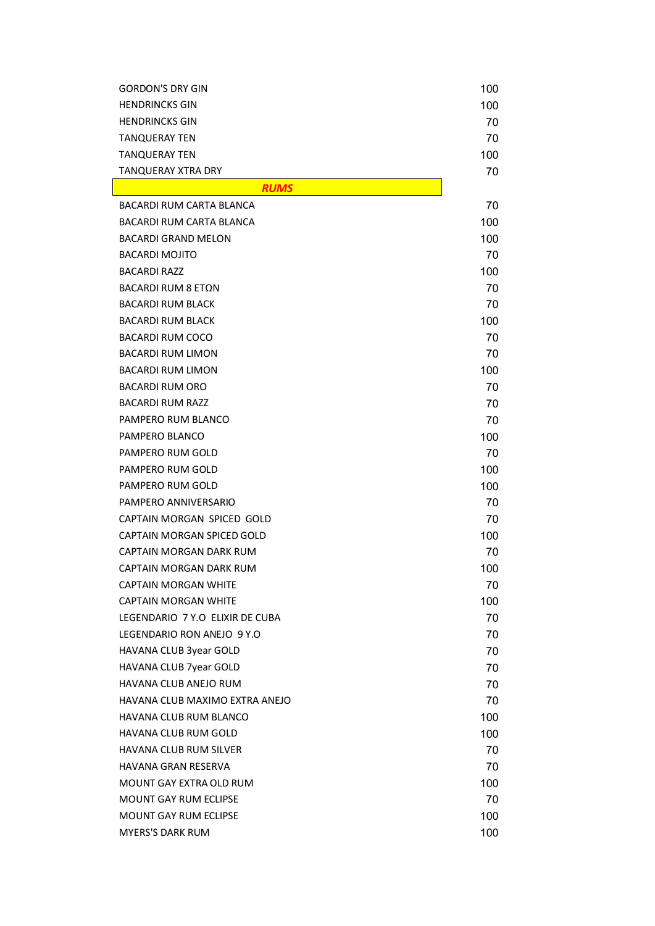| <b>GORDON'S DRY GIN</b>         | 100 |
|---------------------------------|-----|
| <b>HENDRINCKS GIN</b>           | 100 |
| <b>HENDRINCKS GIN</b>           | 70  |
| <b>TANQUERAY TEN</b>            | 70  |
| TANQUERAY TEN                   | 100 |
| <b>TANQUERAY XTRA DRY</b>       | 70  |
| <b>RUMS</b>                     |     |
| <b>BACARDI RUM CARTA BLANCA</b> | 70  |
| <b>BACARDI RUM CARTA BLANCA</b> | 100 |
| <b>BACARDI GRAND MELON</b>      | 100 |
| <b>BACARDI MOJITO</b>           | 70  |
| <b>BACARDI RAZZ</b>             | 100 |
| BACARDI RUM 8 ΕΤΩΝ              | 70  |
| <b>BACARDI RUM BLACK</b>        | 70  |
| <b>BACARDI RUM BLACK</b>        | 100 |
| <b>BACARDI RUM COCO</b>         | 70  |
| <b>BACARDI RUM LIMON</b>        | 70  |
| <b>BACARDI RUM LIMON</b>        | 100 |
| <b>BACARDI RUM ORO</b>          | 70  |
| <b>BACARDI RUM RAZZ</b>         | 70  |
| PAMPERO RUM BLANCO              | 70  |
| PAMPERO BLANCO                  | 100 |
| PAMPERO RUM GOLD                | 70  |
| PAMPERO RUM GOLD                | 100 |
| PAMPERO RUM GOLD                | 100 |
| PAMPERO ANNIVERSARIO            | 70  |
| CAPTAIN MORGAN SPICED GOLD      | 70  |
| CAPTAIN MORGAN SPICED GOLD      | 100 |
| CAPTAIN MORGAN DARK RUM         | 70  |
| <b>CAPTAIN MORGAN DARK RUM</b>  | 100 |
| <b>CAPTAIN MORGAN WHITE</b>     | 70  |
| <b>CAPTAIN MORGAN WHITE</b>     | 100 |
| LEGENDARIO 7 Y.O ELIXIR DE CUBA | 70  |
| LEGENDARIO RON ANEJO 9 Y.O      | 70  |
| HAVANA CLUB 3year GOLD          | 70  |
| HAVANA CLUB 7year GOLD          | 70  |
| <b>HAVANA CLUB ANEJO RUM</b>    | 70  |
| HAVANA CLUB MAXIMO EXTRA ANEJO  | 70  |
| HAVANA CLUB RUM BLANCO          | 100 |
| HAVANA CLUB RUM GOLD            | 100 |
| <b>HAVANA CLUB RUM SILVER</b>   | 70  |
| HAVANA GRAN RESERVA             | 70  |
| MOUNT GAY EXTRA OLD RUM         | 100 |
| <b>MOUNT GAY RUM ECLIPSE</b>    | 70  |
| <b>MOUNT GAY RUM ECLIPSE</b>    | 100 |
| <b>MYERS'S DARK RUM</b>         | 100 |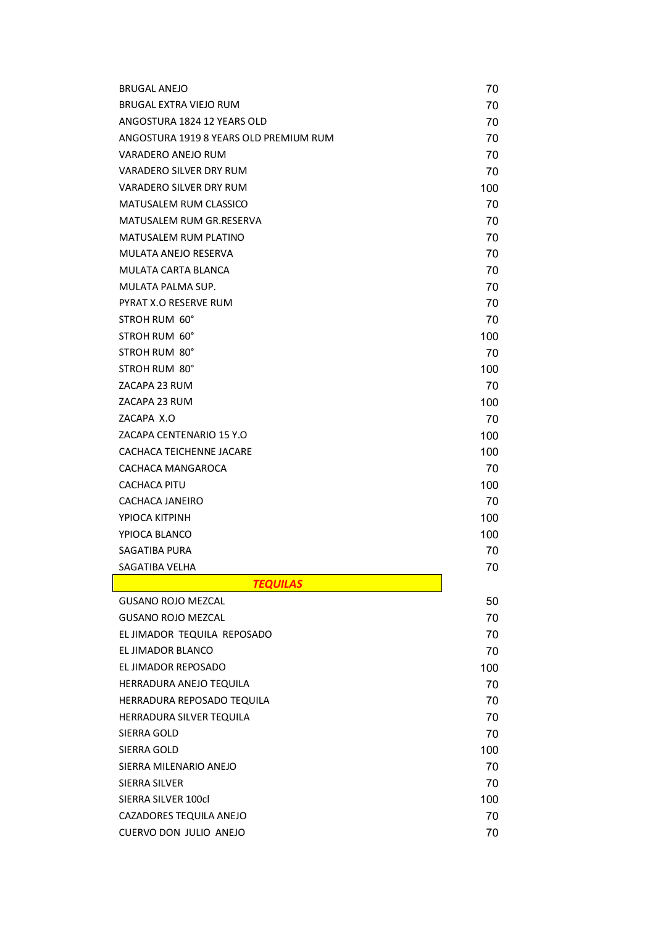| <b>BRUGAL ANEJO</b>                    | 70  |
|----------------------------------------|-----|
| BRUGAL EXTRA VIEJO RUM                 | 70  |
| ANGOSTURA 1824 12 YEARS OLD            | 70  |
| ANGOSTURA 1919 8 YEARS OLD PREMIUM RUM | 70  |
| VARADERO ANEJO RUM                     | 70  |
| <b>VARADERO SILVER DRY RUM</b>         | 70  |
| VARADERO SILVER DRY RUM                | 100 |
| <b>MATUSALEM RUM CLASSICO</b>          | 70  |
| MATUSALEM RUM GR.RESERVA               | 70  |
| MATUSALEM RUM PLATINO                  | 70  |
| MULATA ANEJO RESERVA                   | 70  |
| MULATA CARTA BLANCA                    | 70  |
| MULATA PALMA SUP.                      | 70  |
| PYRAT X.O RESERVE RUM                  | 70  |
| STROH RUM 60°                          | 70  |
| STROH RUM 60°                          | 100 |
| STROH RUM 80°                          | 70  |
| STROH RUM 80°                          | 100 |
| ZACAPA 23 RUM                          | 70  |
| ZACAPA 23 RUM                          | 100 |
| ZACAPA X.O                             | 70  |
| ZACAPA CENTENARIO 15 Y.O               | 100 |
| CACHACA TEICHENNE JACARE               | 100 |
| CACHACA MANGAROCA                      | 70  |
| <b>CACHACA PITU</b>                    | 100 |
| CACHACA JANEIRO                        | 70  |
| YPIOCA KITPINH                         | 100 |
| YPIOCA BLANCO                          | 100 |
| SAGATIBA PURA                          | 70  |
| SAGATIBA VELHA                         | 70  |
| <b>TEQUILAS</b>                        |     |
| <b>GUSANO ROJO MEZCAL</b>              | 50  |
| <b>GUSANO ROJO MEZCAL</b>              | 70  |
| EL JIMADOR TEQUILA REPOSADO            | 70  |
| EL JIMADOR BLANCO                      | 70  |
| EL JIMADOR REPOSADO                    | 100 |
| HERRADURA ANEJO TEQUILA                | 70  |
| HERRADURA REPOSADO TEQUILA             | 70  |
| HERRADURA SILVER TEQUILA               | 70  |
| SIERRA GOLD                            | 70  |
| SIERRA GOLD                            | 100 |
| SIERRA MILENARIO ANEJO                 | 70  |
| <b>SIERRA SILVER</b>                   | 70  |
| SIERRA SILVER 100cl                    | 100 |
| CAZADORES TEQUILA ANEJO                | 70  |
| CUERVO DON JULIO ANEJO                 | 70  |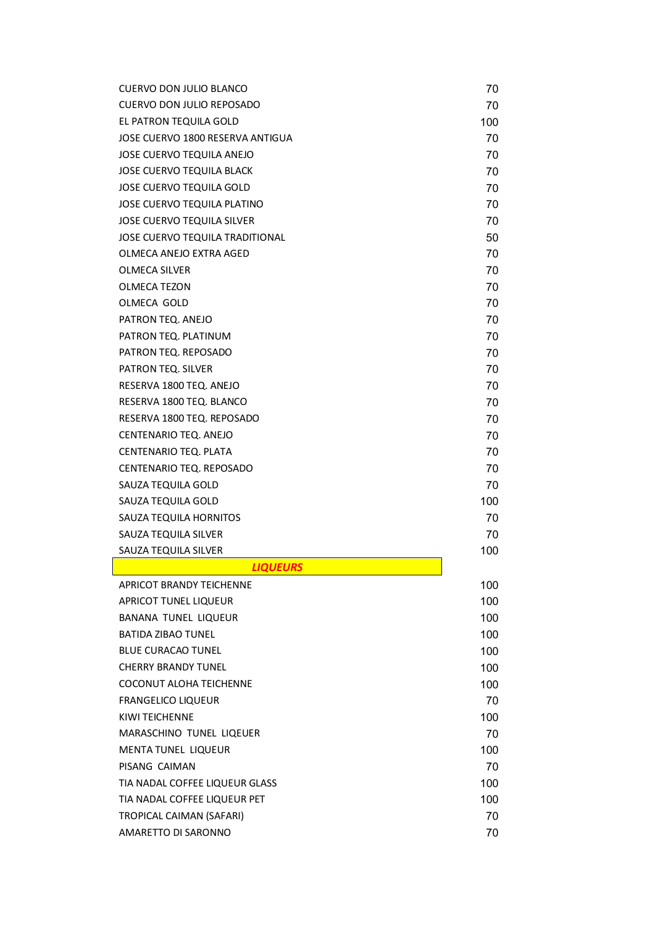| CUERVO DON JULIO BLANCO           | 70  |
|-----------------------------------|-----|
| CUERVO DON JULIO REPOSADO         | 70  |
| EL PATRON TEQUILA GOLD            | 100 |
| JOSE CUERVO 1800 RESERVA ANTIGUA  | 70  |
| <b>JOSE CUERVO TEQUILA ANEJO</b>  | 70  |
| <b>JOSE CUERVO TEQUILA BLACK</b>  | 70  |
| <b>JOSE CUERVO TEQUILA GOLD</b>   | 70  |
| JOSE CUERVO TEQUILA PLATINO       | 70  |
| <b>JOSE CUERVO TEQUILA SILVER</b> | 70  |
| JOSE CUERVO TEQUILA TRADITIONAL   | 50  |
| OLMECA ANEJO EXTRA AGED           | 70  |
| <b>OLMECA SILVER</b>              | 70  |
| OLMECA TEZON                      | 70  |
| OLMECA GOLD                       | 70  |
| PATRON TEQ. ANEJO                 | 70  |
| PATRON TEQ. PLATINUM              | 70  |
| PATRON TEQ. REPOSADO              | 70  |
| PATRON TEQ. SILVER                | 70  |
| RESERVA 1800 TEQ. ANEJO           | 70  |
| RESERVA 1800 TEQ. BLANCO          | 70  |
| RESERVA 1800 TEQ. REPOSADO        | 70  |
| CENTENARIO TEQ. ANEJO             | 70  |
| CENTENARIO TEQ. PLATA             | 70  |
| CENTENARIO TEQ. REPOSADO          | 70  |
| SAUZA TEQUILA GOLD                | 70  |
| SAUZA TEQUILA GOLD                | 100 |
| SAUZA TEQUILA HORNITOS            | 70  |
| SAUZA TEQUILA SILVER              | 70  |
| SAUZA TEQUILA SILVER              | 100 |
| <b>LIQUEURS</b>                   |     |
| <b>APRICOT BRANDY TEICHENNE</b>   | 100 |
| APRICOT TUNEL LIQUEUR             | 100 |
| BANANA TUNEL LIQUEUR              | 100 |
| <b>BATIDA ZIBAO TUNEL</b>         | 100 |
| <b>BLUE CURACAO TUNEL</b>         | 100 |
| <b>CHERRY BRANDY TUNEL</b>        | 100 |
| <b>COCONUT ALOHA TEICHENNE</b>    | 100 |
| <b>FRANGELICO LIQUEUR</b>         | 70  |
| <b>KIWI TEICHENNE</b>             | 100 |
| MARASCHINO TUNEL LIQEUER          | 70  |
| MENTA TUNEL LIQUEUR               | 100 |
| PISANG CAIMAN                     | 70  |
| TIA NADAL COFFEE LIQUEUR GLASS    | 100 |
| TIA NADAL COFFEE LIQUEUR PET      | 100 |
| TROPICAL CAIMAN (SAFARI)          | 70  |
| AMARETTO DI SARONNO               | 70  |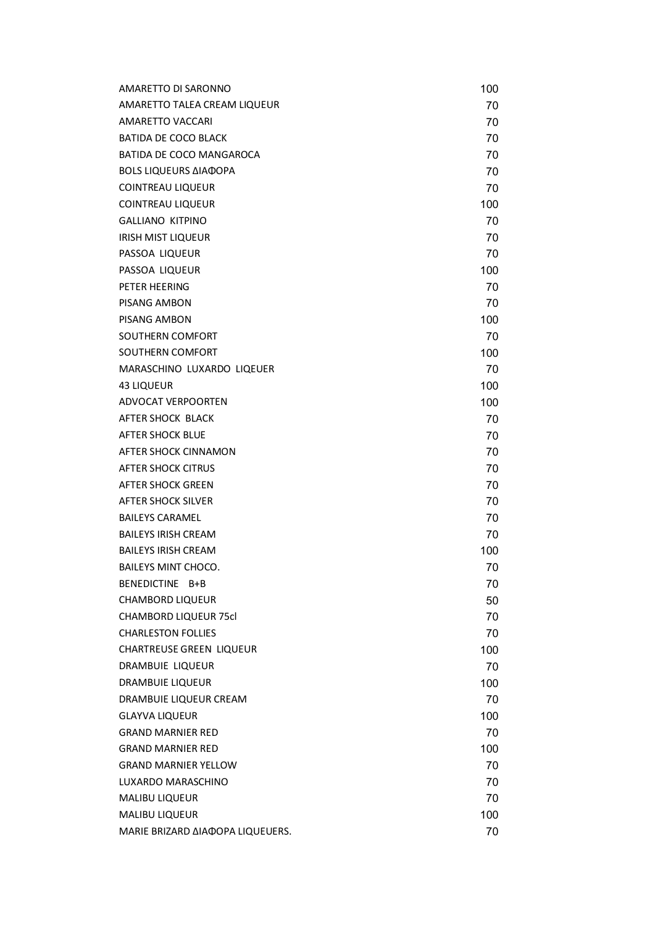| AMARETTO DI SARONNO              | 100 |
|----------------------------------|-----|
| AMARETTO TALEA CREAM LIQUEUR     | 70  |
| AMARETTO VACCARI                 | 70  |
| <b>BATIDA DE COCO BLACK</b>      | 70  |
| BATIDA DE COCO MANGAROCA         | 70  |
| <b>BOLS LIQUEURS ΔΙΑΦΟΡΑ</b>     | 70  |
| COINTREAU LIQUEUR                | 70  |
| <b>COINTREAU LIQUEUR</b>         | 100 |
| <b>GALLIANO KITPINO</b>          | 70  |
| <b>IRISH MIST LIQUEUR</b>        | 70  |
| PASSOA LIQUEUR                   | 70  |
| PASSOA LIQUEUR                   | 100 |
| PETER HEERING                    | 70  |
| PISANG AMBON                     | 70  |
| PISANG AMBON                     | 100 |
| SOUTHERN COMFORT                 | 70  |
| SOUTHERN COMFORT                 | 100 |
| MARASCHINO LUXARDO LIQEUER       | 70  |
| <b>43 LIQUEUR</b>                | 100 |
| <b>ADVOCAT VERPOORTEN</b>        | 100 |
| AFTER SHOCK BLACK                | 70  |
| <b>AFTER SHOCK BLUE</b>          | 70  |
| AFTER SHOCK CINNAMON             | 70  |
| AFTER SHOCK CITRUS               | 70  |
| AFTER SHOCK GREEN                | 70  |
| AFTER SHOCK SILVER               | 70  |
| <b>BAILEYS CARAMEL</b>           | 70  |
| <b>BAILEYS IRISH CREAM</b>       | 70  |
| <b>BAILEYS IRISH CREAM</b>       | 100 |
| <b>BAILEYS MINT CHOCO.</b>       | 70  |
| BENEDICTINE B+B                  | 70  |
| <b>CHAMBORD LIQUEUR</b>          | 50  |
| <b>CHAMBORD LIQUEUR 75cl</b>     | 70  |
| <b>CHARLESTON FOLLIES</b>        | 70  |
| <b>CHARTREUSE GREEN LIQUEUR</b>  | 100 |
| DRAMBUIE LIQUEUR                 | 70  |
| <b>DRAMBUIE LIQUEUR</b>          | 100 |
| DRAMBUIE LIQUEUR CREAM           | 70  |
| <b>GLAYVA LIQUEUR</b>            | 100 |
| <b>GRAND MARNIER RED</b>         | 70  |
| <b>GRAND MARNIER RED</b>         | 100 |
| <b>GRAND MARNIER YELLOW</b>      | 70  |
| LUXARDO MARASCHINO               | 70  |
| <b>MALIBU LIQUEUR</b>            | 70  |
| <b>MALIBU LIQUEUR</b>            | 100 |
| MARIE BRIZARD ΔΙΑΦΟΡΑ LIQUEUERS. | 70  |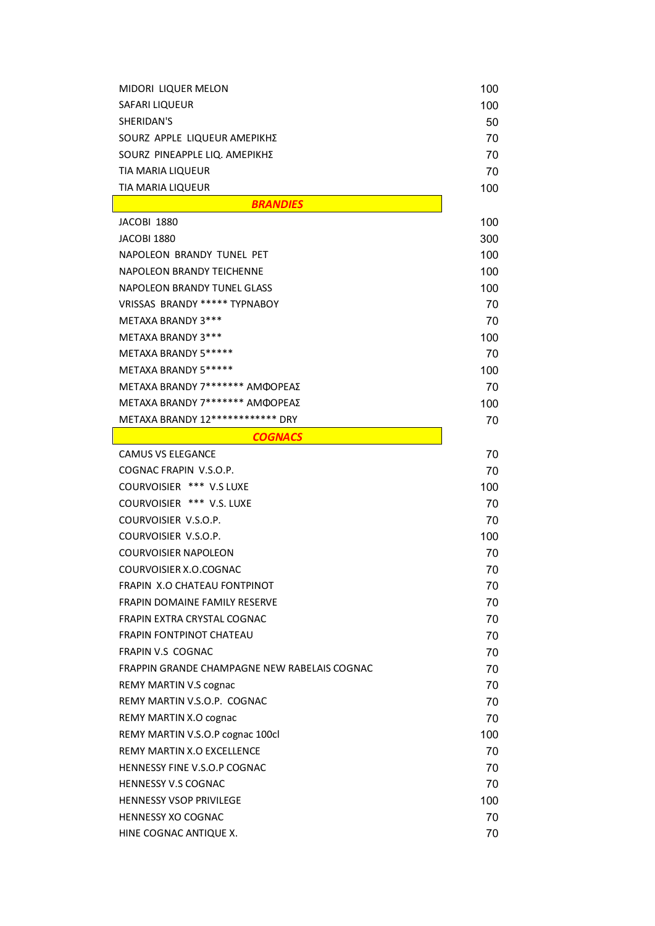| <b>MIDORI LIQUER MELON</b>                   | 100 |
|----------------------------------------------|-----|
| SAFARI LIQUEUR                               | 100 |
| SHERIDAN'S                                   | 50  |
| SOURZ APPLE LIQUEUR AMEPIKHZ                 | 70  |
| SOURZ PINEAPPLE LIQ. ΑΜΕΡΙΚΗΣ                | 70  |
| <b>TIA MARIA LIQUEUR</b>                     | 70  |
| <b>TIA MARIA LIQUEUR</b>                     | 100 |
| <b>BRANDIES</b>                              |     |
| JACOBI 1880                                  | 100 |
| <b>JACOBI 1880</b>                           | 300 |
| NAPOLEON BRANDY TUNEL PET                    | 100 |
| NAPOLEON BRANDY TEICHENNE                    | 100 |
| <b>NAPOLEON BRANDY TUNEL GLASS</b>           | 100 |
| VRISSAS BRANDY ***** TYPNABOY                | 70  |
| METAXA BRANDY 3***                           | 70  |
| METAXA BRANDY 3***                           | 100 |
| METAXA BRANDY 5*****                         | 70  |
| METAXA BRANDY 5*****                         | 100 |
| METAXA BRANDY 7******* AMOOPEAΣ              | 70  |
| METAXA BRANDY 7******* AMOOPEAΣ              | 100 |
| METAXA BRANDY 12************ DRY             | 70  |
| <b>COGNACS</b>                               |     |
| <b>CAMUS VS ELEGANCE</b>                     | 70  |
|                                              |     |
| COGNAC FRAPIN V.S.O.P.                       | 70  |
| COURVOISIER *** V.S LUXE                     | 100 |
| COURVOISIER *** V.S. LUXE                    | 70  |
| COURVOISIER V.S.O.P.                         | 70  |
| COURVOISIER V.S.O.P.                         | 100 |
| <b>COURVOISIER NAPOLEON</b>                  | 70  |
| COURVOISIER X.O.COGNAC                       | 70  |
| <b>FRAPIN X.O CHATEAU FONTPINOT</b>          | 70  |
| <b>FRAPIN DOMAINE FAMILY RESERVE</b>         | 70  |
| FRAPIN EXTRA CRYSTAL COGNAC                  | 70  |
| <b>FRAPIN FONTPINOT CHATEAU</b>              | 70  |
| <b>FRAPIN V.S COGNAC</b>                     | 70  |
| FRAPPIN GRANDE CHAMPAGNE NEW RABELAIS COGNAC | 70  |
| REMY MARTIN V.S cognac                       | 70  |
| REMY MARTIN V.S.O.P. COGNAC                  | 70  |
| REMY MARTIN X.O cognac                       | 70  |
| REMY MARTIN V.S.O.P cognac 100cl             | 100 |
| REMY MARTIN X.O EXCELLENCE                   | 70  |
| HENNESSY FINE V.S.O.P COGNAC                 | 70  |
| <b>HENNESSY V.S COGNAC</b>                   | 70  |
| <b>HENNESSY VSOP PRIVILEGE</b>               | 100 |
| <b>HENNESSY XO COGNAC</b>                    | 70  |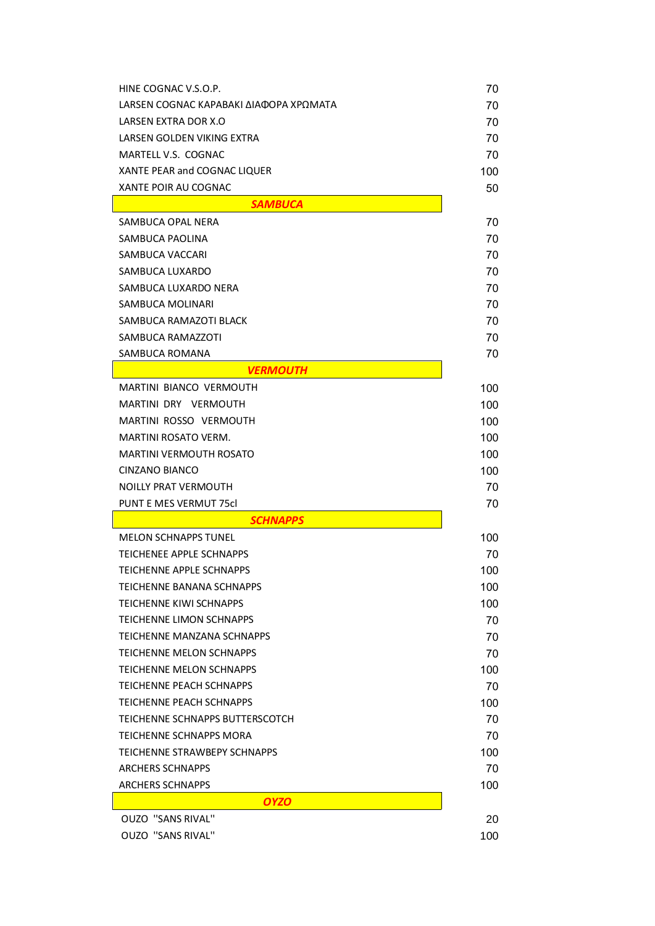| HINE COGNAC V.S.O.P.                                 | 70        |
|------------------------------------------------------|-----------|
| LARSEN COGNAC ΚΑΡΑΒΑΚΙ ΔΙΑΦΟΡΑ ΧΡΩΜΑΤΑ               | 70        |
| LARSEN EXTRA DOR X.O                                 | 70        |
| LARSEN GOLDEN VIKING EXTRA                           | 70        |
| MARTELL V.S. COGNAC                                  | 70        |
| XANTE PEAR and COGNAC LIQUER                         | 100       |
| XANTE POIR AU COGNAC                                 | 50        |
| <b>SAMBUCA</b>                                       |           |
| SAMBUCA OPAL NERA                                    | 70        |
| SAMBUCA PAOLINA                                      | 70        |
| SAMBUCA VACCARI                                      | 70        |
| SAMBUCA LUXARDO                                      | 70        |
| SAMBUCA LUXARDO NERA                                 | 70        |
| SAMBUCA MOLINARI                                     | 70        |
| SAMBUCA RAMAZOTI BLACK                               | 70        |
| SAMBUCA RAMAZZOTI                                    | 70        |
| SAMBUCA ROMANA                                       | 70        |
| <b>VERMOUTH</b>                                      |           |
| <b>MARTINI BIANCO VERMOUTH</b>                       | 100       |
| MARTINI DRY VERMOUTH                                 | 100       |
| MARTINI ROSSO VERMOUTH                               | 100       |
| MARTINI ROSATO VERM.                                 | 100       |
| MARTINI VERMOUTH ROSATO                              | 100       |
| CINZANO BIANCO                                       | 100       |
| <b>NOILLY PRAT VERMOUTH</b>                          | 70        |
| <b>PUNT E MES VERMUT 75cl</b>                        | 70        |
| <b>SCHNAPPS</b>                                      |           |
| <b>MELON SCHNAPPS TUNEL</b>                          | 100       |
| TEICHENEE APPLE SCHNAPPS                             | 70        |
| TEICHENNE APPLE SCHNAPPS                             | 100       |
| TEICHENNE BANANA SCHNAPPS                            | 100       |
| TEICHENNE KIWI SCHNAPPS                              | 100       |
| <b>TEICHENNE LIMON SCHNAPPS</b>                      | 70        |
| TEICHENNE MANZANA SCHNAPPS                           | 70        |
| <b>TEICHENNE MELON SCHNAPPS</b>                      | 70        |
| TEICHENNE MELON SCHNAPPS                             | 100       |
| <b>TFICHENNE PEACH SCHNAPPS</b>                      | 70        |
| TEICHENNE PEACH SCHNAPPS                             | 100       |
| TEICHENNE SCHNAPPS BUTTERSCOTCH                      | 70        |
|                                                      |           |
| TEICHENNE SCHNAPPS MORA                              | 70        |
| TEICHENNE STRAWBEPY SCHNAPPS                         | 100       |
| <b>ARCHERS SCHNAPPS</b>                              | 70        |
| <b>ARCHERS SCHNAPPS</b>                              | 100       |
| <b>OYZO</b>                                          |           |
| <b>OUZO "SANS RIVAL"</b><br><b>OUZO "SANS RIVAL"</b> | 20<br>100 |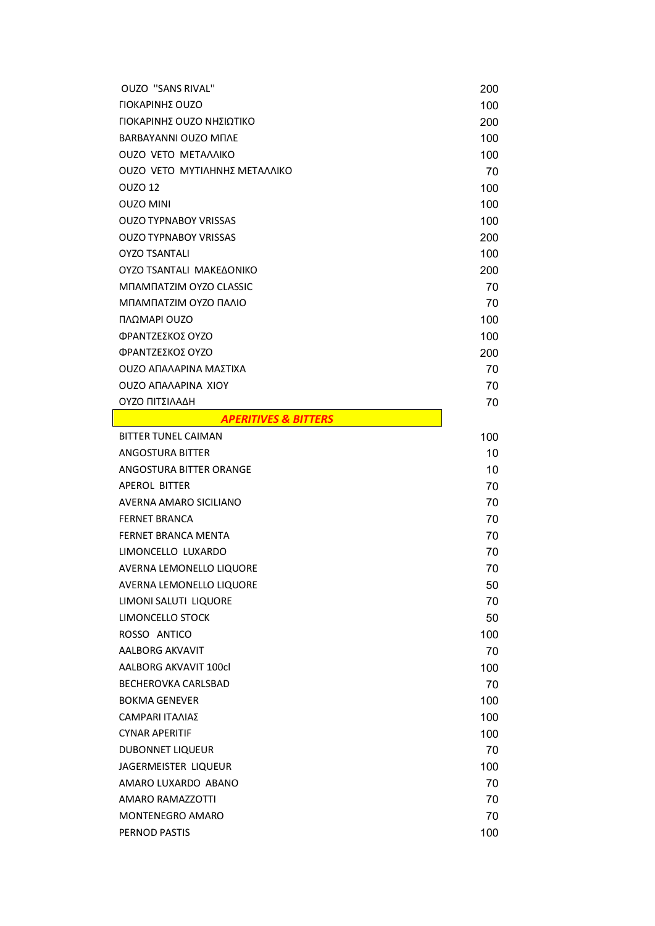| <b>OUZO "SANS RIVAL"</b>                   | 200 |
|--------------------------------------------|-----|
| ΓΙΟΚΑΡΙΝΗΣ ΟUΖΟ                            | 100 |
| ΓΙΟΚΑΡΙΝΗΣ ΟUΖΟ ΝΗΣΙΩΤΙΚΟ                  | 200 |
| <b>BARBAYANNI OUZO MNAE</b>                | 100 |
| <b>OUZO VETO METAAAIKO</b>                 | 100 |
| <b>OUZO VETO MYTIAHNHΣ METAAAIKO</b>       | 70  |
| OUZO 12                                    | 100 |
| <b>OUZO MINI</b>                           | 100 |
| <b>OUZO TYPNABOY VRISSAS</b>               | 100 |
| <b>OUZO TYPNABOY VRISSAS</b>               | 200 |
| <b>OYZO TSANTALI</b>                       | 100 |
| OYZO TSANTALI MAKEAONIKO                   | 200 |
| MNAMNATZIM OYZO CLASSIC                    | 70  |
| ΜΠΑΜΠΑΤΖΙΜ ΟΥΖΟ ΠΑΛΙΟ                      | 70  |
| ΠΛΩΜΑΡΙ OUZO                               | 100 |
| ΦΡΑΝΤΖΕΣΚΟΣ ΟΥΖΟ                           | 100 |
| ΦΡΑΝΤΖΕΣΚΟΣ ΟΥΖΟ                           | 200 |
| ΟυΖΟ ΑΠΑΛΑΡΙΝΑ ΜΑΣΤΙΧΑ                     | 70  |
| <b>OUZO ANAAAPINA XIOY</b>                 | 70  |
| ΟΥΖΟ ΠΙΤΣΙΛΑΔΗ                             | 70  |
| <b>Example 21 APERITIVES &amp; BITTERS</b> |     |
| <b>BITTER TUNEL CAIMAN</b>                 | 100 |
| ANGOSTURA BITTER                           | 10  |
| ANGOSTURA BITTER ORANGE                    | 10  |
| <b>APEROL BITTER</b>                       | 70  |
| AVERNA AMARO SICILIANO                     | 70  |
| <b>FERNET BRANCA</b>                       | 70  |
| FERNET BRANCA MENTA                        | 70  |
| LIMONCELLO LUXARDO                         | 70  |
| AVERNA LEMONELLO LIQUORE                   | 70  |
| AVERNA LEMONELLO LIQUORE                   | 50  |
| LIMONI SALUTI LIQUORE                      | 70  |
| LIMONCELLO STOCK                           | 50  |
| ROSSO ANTICO                               | 100 |
| <b>AALBORG AKVAVIT</b>                     | 70  |
| AALBORG AKVAVIT 100cl                      | 100 |
| <b>BECHEROVKA CARLSBAD</b>                 | 70  |
| <b>BOKMA GENEVER</b>                       | 100 |
| <b>CAMPARI ΙΤΑΛΙΑΣ</b>                     | 100 |
| <b>CYNAR APERITIF</b>                      | 100 |
| <b>DUBONNET LIQUEUR</b>                    | 70  |
| JAGERMEISTER LIQUEUR                       | 100 |
| AMARO LUXARDO ABANO                        | 70  |
| AMARO RAMAZZOTTI                           | 70  |
| <b>MONTENEGRO AMARO</b>                    | 70  |
| PERNOD PASTIS                              | 100 |